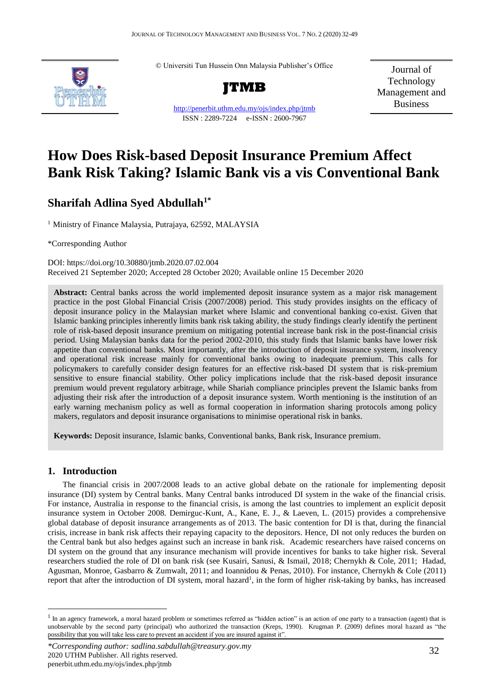© Universiti Tun Hussein Onn Malaysia Publisher's Office



<http://penerbit.uthm.edu.my/ojs/index.php/jtmb> ISSN : 2289-7224 e-ISSN : 2600-7967

Journal of Technology Management and Business

# **How Does Risk-based Deposit Insurance Premium Affect Bank Risk Taking? Islamic Bank vis a vis Conventional Bank**

## **Sharifah Adlina Syed Abdullah1\***

<sup>1</sup> Ministry of Finance Malaysia, Putrajaya, 62592, MALAYSIA

\*Corresponding Author

DOI: https://doi.org/10.30880/jtmb.2020.07.02.004 Received 21 September 2020; Accepted 28 October 2020; Available online 15 December 2020

**Abstract:** Central banks across the world implemented deposit insurance system as a major risk management practice in the post Global Financial Crisis (2007/2008) period. This study provides insights on the efficacy of deposit insurance policy in the Malaysian market where Islamic and conventional banking co-exist. Given that Islamic banking principles inherently limits bank risk taking ability, the study findings clearly identify the pertinent role of risk-based deposit insurance premium on mitigating potential increase bank risk in the post-financial crisis period. Using Malaysian banks data for the period 2002-2010, this study finds that Islamic banks have lower risk appetite than conventional banks. Most importantly, after the introduction of deposit insurance system, insolvency and operational risk increase mainly for conventional banks owing to inadequate premium. This calls for policymakers to carefully consider design features for an effective risk-based DI system that is risk-premium sensitive to ensure financial stability. Other policy implications include that the risk-based deposit insurance premium would prevent regulatory arbitrage, while Shariah compliance principles prevent the Islamic banks from adjusting their risk after the introduction of a deposit insurance system. Worth mentioning is the institution of an early warning mechanism policy as well as formal cooperation in information sharing protocols among policy makers, regulators and deposit insurance organisations to minimise operational risk in banks.

**Keywords:** Deposit insurance, Islamic banks, Conventional banks, Bank risk, Insurance premium.

## **1. Introduction**

 $\overline{a}$ 

The financial crisis in 2007/2008 leads to an active global debate on the rationale for implementing deposit insurance (DI) system by Central banks. Many Central banks introduced DI system in the wake of the financial crisis. For instance, Australia in response to the financial crisis, is among the last countries to implement an explicit deposit insurance system in October 2008. Demirguc-Kunt, A., Kane, E. J., & Laeven, L. (2015) provides a comprehensive global database of deposit insurance arrangements as of 2013. The basic contention for DI is that, during the financial crisis, increase in bank risk affects their repaying capacity to the depositors. Hence, DI not only reduces the burden on the Central bank but also hedges against such an increase in bank risk. Academic researchers have raised concerns on DI system on the ground that any insurance mechanism will provide incentives for banks to take higher risk. Several researchers studied the role of DI on bank risk (see Kusairi, Sanusi, & Ismail, 2018; Chernykh & Cole, 2011; Hadad, Agusman, Monroe, Gasbarro & Zumwalt, 2011; and Ioannidou & Penas, 2010). For instance, Chernykh & Cole (2011) report that after the introduction of DI system, moral hazard<sup>1</sup>, in the form of higher risk-taking by banks, has increased

 $<sup>1</sup>$  In an agency framework, a moral hazard problem or sometimes referred as "hidden action" is an action of one party to a transaction (agent) that is</sup> unobservable by the second party (principal) who authorized the transaction (Kreps, 1990). Krugman P. (2009) defines moral hazard as "the possibility that you will take less care to prevent an accident if you are insured against it".

*<sup>\*</sup>Corresponding author: sadlina.sabdullah@treasury.gov.my* 2020 UTHM Publisher. All rights reserved. penerbit.uthm.edu.my/ojs/index.php/jtmb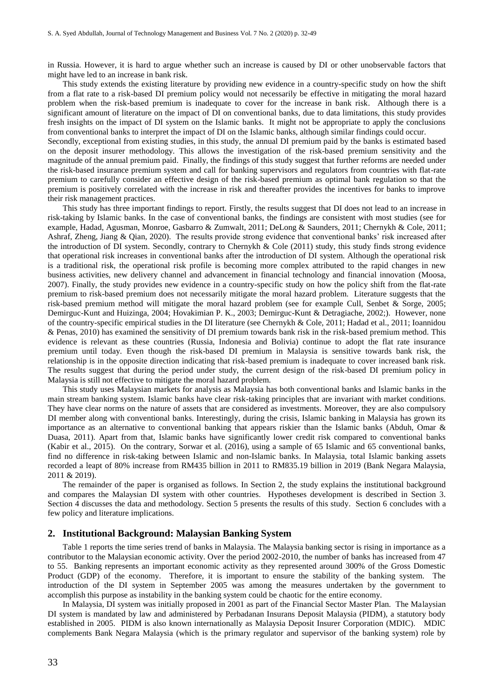in Russia. However, it is hard to argue whether such an increase is caused by DI or other unobservable factors that might have led to an increase in bank risk.

This study extends the existing literature by providing new evidence in a country-specific study on how the shift from a flat rate to a risk-based DI premium policy would not necessarily be effective in mitigating the moral hazard problem when the risk-based premium is inadequate to cover for the increase in bank risk. Although there is a significant amount of literature on the impact of DI on conventional banks, due to data limitations, this study provides fresh insights on the impact of DI system on the Islamic banks. It might not be appropriate to apply the conclusions from conventional banks to interpret the impact of DI on the Islamic banks, although similar findings could occur.

Secondly, exceptional from existing studies, in this study, the annual DI premium paid by the banks is estimated based on the deposit insurer methodology. This allows the investigation of the risk-based premium sensitivity and the magnitude of the annual premium paid. Finally, the findings of this study suggest that further reforms are needed under the risk-based insurance premium system and call for banking supervisors and regulators from countries with flat-rate premium to carefully consider an effective design of the risk-based premium as optimal bank regulation so that the premium is positively correlated with the increase in risk and thereafter provides the incentives for banks to improve their risk management practices.

This study has three important findings to report. Firstly, the results suggest that DI does not lead to an increase in risk-taking by Islamic banks. In the case of conventional banks, the findings are consistent with most studies (see for example, Hadad, Agusman, Monroe, Gasbarro & Zumwalt, 2011; DeLong & Saunders, 2011; Chernykh & Cole, 2011; Ashraf, Zheng, Jiang & Qian, 2020). The results provide strong evidence that conventional banks' risk increased after the introduction of DI system. Secondly, contrary to Chernykh & Cole (2011) study, this study finds strong evidence that operational risk increases in conventional banks after the introduction of DI system. Although the operational risk is a traditional risk, the operational risk profile is becoming more complex attributed to the rapid changes in new business activities, new delivery channel and advancement in financial technology and financial innovation (Moosa, 2007). Finally, the study provides new evidence in a country-specific study on how the policy shift from the flat-rate premium to risk-based premium does not necessarily mitigate the moral hazard problem. Literature suggests that the risk-based premium method will mitigate the moral hazard problem (see for example Cull, Senbet & Sorge, 2005; Demirguc-Kunt and Huizinga, 2004; Hovakimian P. K., 2003; Demirguc-Kunt & Detragiache, 2002;). However, none of the country-specific empirical studies in the DI literature (see Chernykh & Cole, 2011; Hadad et al., 2011; Ioannidou & Penas, 2010) has examined the sensitivity of DI premium towards bank risk in the risk-based premium method. This evidence is relevant as these countries (Russia, Indonesia and Bolivia) continue to adopt the flat rate insurance premium until today. Even though the risk-based DI premium in Malaysia is sensitive towards bank risk, the relationship is in the opposite direction indicating that risk-based premium is inadequate to cover increased bank risk. The results suggest that during the period under study, the current design of the risk-based DI premium policy in Malaysia is still not effective to mitigate the moral hazard problem.

This study uses Malaysian markets for analysis as Malaysia has both conventional banks and Islamic banks in the main stream banking system. Islamic banks have clear risk-taking principles that are invariant with market conditions. They have clear norms on the nature of assets that are considered as investments. Moreover, they are also compulsory DI member along with conventional banks. Interestingly, during the crisis, Islamic banking in Malaysia has grown its importance as an alternative to conventional banking that appears riskier than the Islamic banks (Abduh, Omar & Duasa, 2011). Apart from that, Islamic banks have significantly lower credit risk compared to conventional banks (Kabir et al., 2015). On the contrary, Sorwar et al. (2016), using a sample of 65 Islamic and 65 conventional banks, find no difference in risk-taking between Islamic and non-Islamic banks. In Malaysia, total Islamic banking assets recorded a leapt of 80% increase from RM435 billion in 2011 to RM835.19 billion in 2019 (Bank Negara Malaysia, 2011 & 2019).

The remainder of the paper is organised as follows. In Section 2, the study explains the institutional background and compares the Malaysian DI system with other countries. Hypotheses development is described in Section 3. Section 4 discusses the data and methodology. Section 5 presents the results of this study. Section 6 concludes with a few policy and literature implications.

#### **2. Institutional Background: Malaysian Banking System**

Table 1 reports the time series trend of banks in Malaysia. The Malaysia banking sector is rising in importance as a contributor to the Malaysian economic activity. Over the period 2002-2010, the number of banks has increased from 47 to 55. Banking represents an important economic activity as they represented around 300% of the Gross Domestic Product (GDP) of the economy. Therefore, it is important to ensure the stability of the banking system. The introduction of the DI system in September 2005 was among the measures undertaken by the government to accomplish this purpose as instability in the banking system could be chaotic for the entire economy.

In Malaysia, DI system was initially proposed in 2001 as part of the Financial Sector Master Plan. The Malaysian DI system is mandated by law and administered by Perbadanan Insurans Deposit Malaysia (PIDM), a statutory body established in 2005. PIDM is also known internationally as Malaysia Deposit Insurer Corporation (MDIC). MDIC complements Bank Negara Malaysia (which is the primary regulator and supervisor of the banking system) role by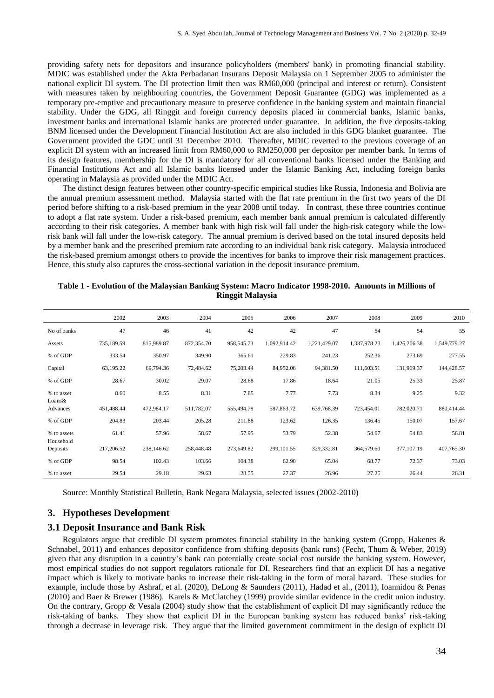providing safety nets for depositors and insurance policyholders (members' bank) in promoting financial stability. MDIC was established under the Akta Perbadanan Insurans Deposit Malaysia on 1 September 2005 to administer the national explicit DI system. The DI protection limit then was RM60,000 (principal and interest or return). Consistent with measures taken by neighbouring countries, the Government Deposit Guarantee (GDG) was implemented as a temporary pre-emptive and precautionary measure to preserve confidence in the banking system and maintain financial stability. Under the GDG, all Ringgit and foreign currency deposits placed in commercial banks, Islamic banks, investment banks and international Islamic banks are protected under guarantee. In addition, the five deposits-taking BNM licensed under the Development Financial Institution Act are also included in this GDG blanket guarantee. The Government provided the GDC until 31 December 2010. Thereafter, MDIC reverted to the previous coverage of an explicit DI system with an increased limit from RM60,000 to RM250,000 per depositor per member bank. In terms of its design features, membership for the DI is mandatory for all conventional banks licensed under the Banking and Financial Institutions Act and all Islamic banks licensed under the Islamic Banking Act, including foreign banks operating in Malaysia as provided under the MDIC Act.

The distinct design features between other country-specific empirical studies like Russia, Indonesia and Bolivia are the annual premium assessment method. Malaysia started with the flat rate premium in the first two years of the DI period before shifting to a risk-based premium in the year 2008 until today. In contrast, these three countries continue to adopt a flat rate system. Under a risk-based premium, each member bank annual premium is calculated differently according to their risk categories. A member bank with high risk will fall under the high-risk category while the lowrisk bank will fall under the low-risk category. The annual premium is derived based on the total insured deposits held by a member bank and the prescribed premium rate according to an individual bank risk category. Malaysia introduced the risk-based premium amongst others to provide the incentives for banks to improve their risk management practices. Hence, this study also captures the cross-sectional variation in the deposit insurance premium.

|                          |            |            |            | $\tilde{}$ |              |              |              |              |              |
|--------------------------|------------|------------|------------|------------|--------------|--------------|--------------|--------------|--------------|
|                          | 2002       | 2003       | 2004       | 2005       | 2006         | 2007         | 2008         | 2009         | 2010         |
| No of banks              | 47         | 46         | 41         | 42         | 42           | 47           | 54           | 54           | 55           |
| Assets                   | 735,189.59 | 815,989.87 | 872,354.70 | 958,545.73 | 1,092,914.42 | 1,221,429.07 | 1,337,978.23 | 1,426,206.38 | 1,549,779.27 |
| % of GDP                 | 333.54     | 350.97     | 349.90     | 365.61     | 229.83       | 241.23       | 252.36       | 273.69       | 277.55       |
| Capital                  | 63,195.22  | 69,794.36  | 72,484.62  | 75,203.44  | 84,952.06    | 94,381.50    | 111,603.51   | 131,969.37   | 144,428.57   |
| % of GDP                 | 28.67      | 30.02      | 29.07      | 28.68      | 17.86        | 18.64        | 21.05        | 25.33        | 25.87        |
| % to asset               | 8.60       | 8.55       | 8.31       | 7.85       | 7.77         | 7.73         | 8.34         | 9.25         | 9.32         |
| Loans&<br>Advances       | 451,488.44 | 472,984.17 | 511,782.07 | 555,494.78 | 587,863.72   | 639,768.39   | 723,454.01   | 782,020.71   | 880,414.44   |
| % of GDP                 | 204.83     | 203.44     | 205.28     | 211.88     | 123.62       | 126.35       | 136.45       | 150.07       | 157.67       |
| % to assets<br>Household | 61.41      | 57.96      | 58.67      | 57.95      | 53.79        | 52.38        | 54.07        | 54.83        | 56.81        |
| Deposits                 | 217,206.52 | 238,146.62 | 258,448.48 | 273,649.82 | 299, 101.55  | 329,332.81   | 364,579.60   | 377,107.19   | 407,765.30   |
| % of GDP                 | 98.54      | 102.43     | 103.66     | 104.38     | 62.90        | 65.04        | 68.77        | 72.37        | 73.03        |
| % to asset               | 29.54      | 29.18      | 29.63      | 28.55      | 27.37        | 26.96        | 27.25        | 26.44        | 26.31        |

### **Table 1 - Evolution of the Malaysian Banking System: Macro Indicator 1998-2010. Amounts in Millions of Ringgit Malaysia**

Source: Monthly Statistical Bulletin, Bank Negara Malaysia, selected issues (2002-2010)

## **3. Hypotheses Development**

## **3.1 Deposit Insurance and Bank Risk**

Regulators argue that credible DI system promotes financial stability in the banking system (Gropp, Hakenes & Schnabel, 2011) and enhances depositor confidence from shifting deposits (bank runs) (Fecht, Thum & Weber, 2019) given that any disruption in a country's bank can potentially create social cost outside the banking system. However, most empirical studies do not support regulators rationale for DI. Researchers find that an explicit DI has a negative impact which is likely to motivate banks to increase their risk-taking in the form of moral hazard. These studies for example, include those by Ashraf, et al. (2020), DeLong & Saunders (2011), Hadad et al., (2011), Ioannidou & Penas (2010) and Baer & Brewer (1986). Karels & McClatchey (1999) provide similar evidence in the credit union industry. On the contrary, Gropp & Vesala (2004) study show that the establishment of explicit DI may significantly reduce the risk-taking of banks. They show that explicit DI in the European banking system has reduced banks' risk-taking through a decrease in leverage risk. They argue that the limited government commitment in the design of explicit DI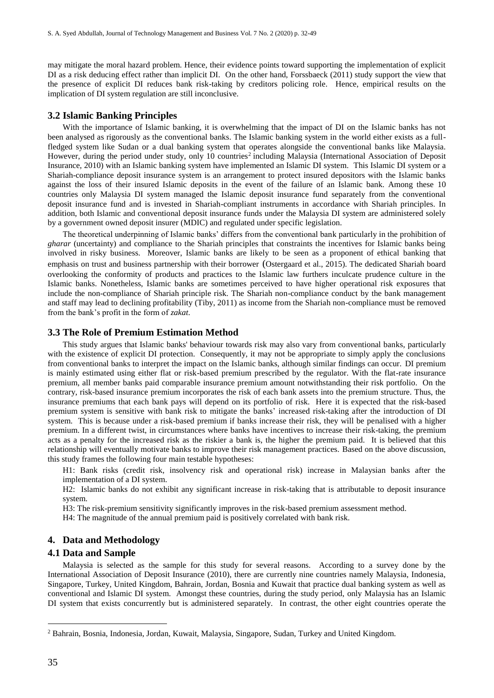may mitigate the moral hazard problem. Hence, their evidence points toward supporting the implementation of explicit DI as a risk deducing effect rather than implicit DI. On the other hand, Forssbaeck (2011) study support the view that the presence of explicit DI reduces bank risk-taking by creditors policing role. Hence, empirical results on the implication of DI system regulation are still inconclusive.

## **3.2 Islamic Banking Principles**

With the importance of Islamic banking, it is overwhelming that the impact of DI on the Islamic banks has not been analysed as rigorously as the conventional banks. The Islamic banking system in the world either exists as a fullfledged system like Sudan or a dual banking system that operates alongside the conventional banks like Malaysia. However, during the period under study, only 10 countries<sup>2</sup> including Malaysia (International Association of Deposit Insurance, 2010) with an Islamic banking system have implemented an Islamic DI system. This Islamic DI system or a Shariah-compliance deposit insurance system is an arrangement to protect insured depositors with the Islamic banks against the loss of their insured Islamic deposits in the event of the failure of an Islamic bank. Among these 10 countries only Malaysia DI system managed the Islamic deposit insurance fund separately from the conventional deposit insurance fund and is invested in Shariah-compliant instruments in accordance with Shariah principles. In addition, both Islamic and conventional deposit insurance funds under the Malaysia DI system are administered solely by a government owned deposit insurer (MDIC) and regulated under specific legislation.

The theoretical underpinning of Islamic banks' differs from the conventional bank particularly in the prohibition of *gharar* (uncertainty) and compliance to the Shariah principles that constraints the incentives for Islamic banks being involved in risky business. Moreover, Islamic banks are likely to be seen as a proponent of ethical banking that emphasis on trust and business partnership with their borrower (Ostergaard et al., 2015). The dedicated Shariah board overlooking the conformity of products and practices to the Islamic law furthers inculcate prudence culture in the Islamic banks. Nonetheless, Islamic banks are sometimes perceived to have higher operational risk exposures that include the non-compliance of Shariah principle risk. The Shariah non-compliance conduct by the bank management and staff may lead to declining profitability (Tiby, 2011) as income from the Shariah non-compliance must be removed from the bank's profit in the form of *zakat*.

#### **3.3 The Role of Premium Estimation Method**

This study argues that Islamic banks' behaviour towards risk may also vary from conventional banks, particularly with the existence of explicit DI protection. Consequently, it may not be appropriate to simply apply the conclusions from conventional banks to interpret the impact on the Islamic banks, although similar findings can occur. DI premium is mainly estimated using either flat or risk-based premium prescribed by the regulator. With the flat-rate insurance premium, all member banks paid comparable insurance premium amount notwithstanding their risk portfolio. On the contrary, risk-based insurance premium incorporates the risk of each bank assets into the premium structure. Thus, the insurance premiums that each bank pays will depend on its portfolio of risk. Here it is expected that the risk-based premium system is sensitive with bank risk to mitigate the banks' increased risk-taking after the introduction of DI system. This is because under a risk-based premium if banks increase their risk, they will be penalised with a higher premium. In a different twist, in circumstances where banks have incentives to increase their risk-taking, the premium acts as a penalty for the increased risk as the riskier a bank is, the higher the premium paid. It is believed that this relationship will eventually motivate banks to improve their risk management practices. Based on the above discussion, this study frames the following four main testable hypotheses:

H1: Bank risks (credit risk, insolvency risk and operational risk) increase in Malaysian banks after the implementation of a DI system.

H2: Islamic banks do not exhibit any significant increase in risk-taking that is attributable to deposit insurance system.

H3: The risk-premium sensitivity significantly improves in the risk-based premium assessment method.

H4: The magnitude of the annual premium paid is positively correlated with bank risk.

## **4. Data and Methodology**

### **4.1 Data and Sample**

Malaysia is selected as the sample for this study for several reasons. According to a survey done by the International Association of Deposit Insurance (2010), there are currently nine countries namely Malaysia, Indonesia, Singapore, Turkey, United Kingdom, Bahrain, Jordan, Bosnia and Kuwait that practice dual banking system as well as conventional and Islamic DI system. Amongst these countries, during the study period, only Malaysia has an Islamic DI system that exists concurrently but is administered separately. In contrast, the other eight countries operate the

 $\overline{a}$ 

<sup>2</sup> Bahrain, Bosnia, Indonesia, Jordan, Kuwait, Malaysia, Singapore, Sudan, Turkey and United Kingdom.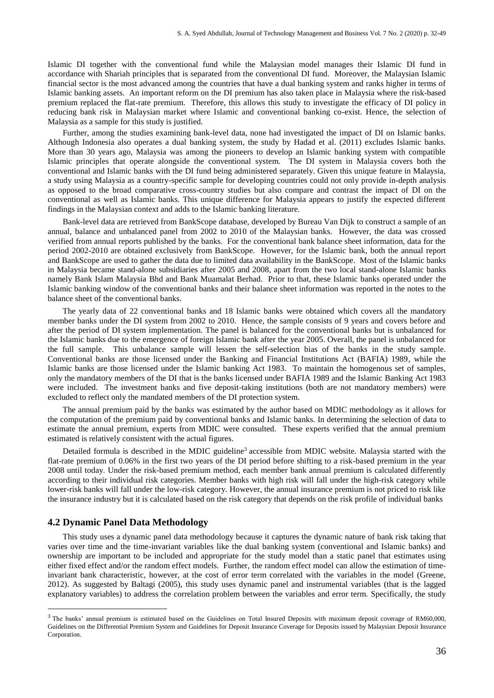Islamic DI together with the conventional fund while the Malaysian model manages their Islamic DI fund in accordance with Shariah principles that is separated from the conventional DI fund. Moreover, the Malaysian Islamic financial sector is the most advanced among the countries that have a dual banking system and ranks higher in terms of Islamic banking assets. An important reform on the DI premium has also taken place in Malaysia where the risk-based premium replaced the flat-rate premium. Therefore, this allows this study to investigate the efficacy of DI policy in reducing bank risk in Malaysian market where Islamic and conventional banking co-exist. Hence, the selection of Malaysia as a sample for this study is justified.

Further, among the studies examining bank-level data, none had investigated the impact of DI on Islamic banks. Although Indonesia also operates a dual banking system, the study by Hadad et al. (2011) excludes Islamic banks. More than 30 years ago, Malaysia was among the pioneers to develop an Islamic banking system with compatible Islamic principles that operate alongside the conventional system. The DI system in Malaysia covers both the conventional and Islamic banks with the DI fund being administered separately. Given this unique feature in Malaysia, a study using Malaysia as a country-specific sample for developing countries could not only provide in-depth analysis as opposed to the broad comparative cross-country studies but also compare and contrast the impact of DI on the conventional as well as Islamic banks. This unique difference for Malaysia appears to justify the expected different findings in the Malaysian context and adds to the Islamic banking literature.

Bank-level data are retrieved from BankScope database, developed by Bureau Van Dijk to construct a sample of an annual, balance and unbalanced panel from 2002 to 2010 of the Malaysian banks. However, the data was crossed verified from annual reports published by the banks. For the conventional bank balance sheet information, data for the period 2002-2010 are obtained exclusively from BankScope. However, for the Islamic bank, both the annual report and BankScope are used to gather the data due to limited data availability in the BankScope. Most of the Islamic banks in Malaysia became stand-alone subsidiaries after 2005 and 2008, apart from the two local stand-alone Islamic banks namely Bank Islam Malaysia Bhd and Bank Muamalat Berhad. Prior to that, these Islamic banks operated under the Islamic banking window of the conventional banks and their balance sheet information was reported in the notes to the balance sheet of the conventional banks.

The yearly data of 22 conventional banks and 18 Islamic banks were obtained which covers all the mandatory member banks under the DI system from 2002 to 2010. Hence, the sample consists of 9 years and covers before and after the period of DI system implementation. The panel is balanced for the conventional banks but is unbalanced for the Islamic banks due to the emergence of foreign Islamic bank after the year 2005. Overall, the panel is unbalanced for the full sample. This unbalance sample will lessen the self-selection bias of the banks in the study sample. Conventional banks are those licensed under the Banking and Financial Institutions Act (BAFIA) 1989, while the Islamic banks are those licensed under the Islamic banking Act 1983. To maintain the homogenous set of samples, only the mandatory members of the DI that is the banks licensed under BAFIA 1989 and the Islamic Banking Act 1983 were included. The investment banks and five deposit-taking institutions (both are not mandatory members) were excluded to reflect only the mandated members of the DI protection system.

The annual premium paid by the banks was estimated by the author based on MDIC methodology as it allows for the computation of the premium paid by conventional banks and Islamic banks. In determining the selection of data to estimate the annual premium, experts from MDIC were consulted. These experts verified that the annual premium estimated is relatively consistent with the actual figures.

Detailed formula is described in the MDIC guideline<sup>3</sup> accessible from MDIC website. Malaysia started with the flat-rate premium of 0.06% in the first two years of the DI period before shifting to a risk-based premium in the year 2008 until today. Under the risk-based premium method, each member bank annual premium is calculated differently according to their individual risk categories. Member banks with high risk will fall under the high-risk category while lower-risk banks will fall under the low-risk category. However, the annual insurance premium is not priced to risk like the insurance industry but it is calculated based on the risk category that depends on the risk profile of individual banks

## **4.2 Dynamic Panel Data Methodology**

 $\overline{a}$ 

This study uses a dynamic panel data methodology because it captures the dynamic nature of bank risk taking that varies over time and the time-invariant variables like the dual banking system (conventional and Islamic banks) and ownership are important to be included and appropriate for the study model than a static panel that estimates using either fixed effect and/or the random effect models. Further, the random effect model can allow the estimation of timeinvariant bank characteristic, however, at the cost of error term correlated with the variables in the model (Greene, 2012). As suggested by Baltagi (2005), this study uses dynamic panel and instrumental variables (that is the lagged explanatory variables) to address the correlation problem between the variables and error term. Specifically, the study

 $3$  The banks' annual premium is estimated based on the Guidelines on Total Insured Deposits with maximum deposit coverage of RM60,000, Guidelines on the Differential Premium System and Guidelines for Deposit Insurance Coverage for Deposits issued by Malaysian Deposit Insurance Corporation.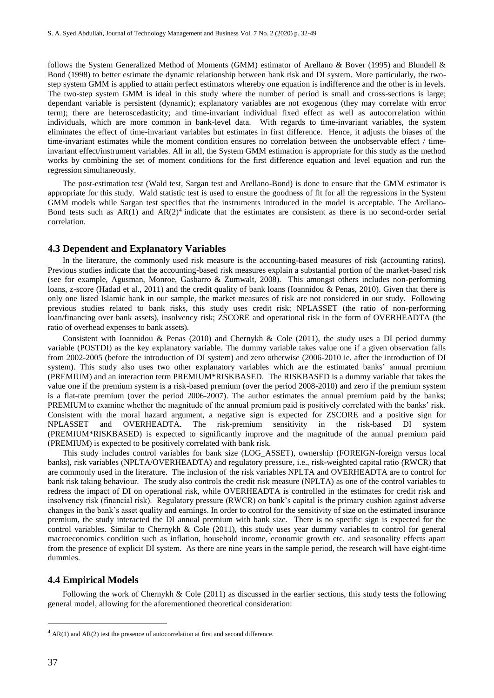follows the System Generalized Method of Moments (GMM) estimator of Arellano & Bover (1995) and Blundell & Bond (1998) to better estimate the dynamic relationship between bank risk and DI system. More particularly, the twostep system GMM is applied to attain perfect estimators whereby one equation is indifference and the other is in levels. The two-step system GMM is ideal in this study where the number of period is small and cross-sections is large; dependant variable is persistent (dynamic); explanatory variables are not exogenous (they may correlate with error term); there are heteroscedasticity; and time-invariant individual fixed effect as well as autocorrelation within individuals, which are more common in bank-level data. With regards to time-invariant variables, the system eliminates the effect of time-invariant variables but estimates in first difference. Hence, it adjusts the biases of the time-invariant estimates while the moment condition ensures no correlation between the unobservable effect / timeinvariant effect/instrument variables. All in all, the System GMM estimation is appropriate for this study as the method works by combining the set of moment conditions for the first difference equation and level equation and run the regression simultaneously.

The post-estimation test (Wald test, Sargan test and Arellano-Bond) is done to ensure that the GMM estimator is appropriate for this study. Wald statistic test is used to ensure the goodness of fit for all the regressions in the System GMM models while Sargan test specifies that the instruments introduced in the model is acceptable. The Arellano-Bond tests such as  $AR(1)$  and  $AR(2)<sup>4</sup>$  indicate that the estimates are consistent as there is no second-order serial correlation.

## **4.3 Dependent and Explanatory Variables**

In the literature, the commonly used risk measure is the accounting-based measures of risk (accounting ratios). Previous studies indicate that the accounting-based risk measures explain a substantial portion of the market-based risk (see for example, Agusman, Monroe, Gasbarro & Zumwalt, 2008). This amongst others includes non-performing loans, z-score (Hadad et al., 2011) and the credit quality of bank loans (Ioannidou & Penas, 2010). Given that there is only one listed Islamic bank in our sample, the market measures of risk are not considered in our study. Following previous studies related to bank risks, this study uses credit risk; NPLASSET (the ratio of non-performing loan/financing over bank assets), insolvency risk; ZSCORE and operational risk in the form of OVERHEADTA (the ratio of overhead expenses to bank assets).

Consistent with Ioannidou & Penas (2010) and Chernykh & Cole (2011), the study uses a DI period dummy variable (POSTDI) as the key explanatory variable. The dummy variable takes value one if a given observation falls from 2002-2005 (before the introduction of DI system) and zero otherwise (2006-2010 ie. after the introduction of DI system). This study also uses two other explanatory variables which are the estimated banks' annual premium (PREMIUM) and an interaction term PREMIUM\*RISKBASED. The RISKBASED is a dummy variable that takes the value one if the premium system is a risk-based premium (over the period 2008-2010) and zero if the premium system is a flat-rate premium (over the period 2006-2007). The author estimates the annual premium paid by the banks; PREMIUM to examine whether the magnitude of the annual premium paid is positively correlated with the banks' risk. Consistent with the moral hazard argument, a negative sign is expected for ZSCORE and a positive sign for NPLASSET and OVERHEADTA. The risk-premium sensitivity in the risk-based DI system (PREMIUM\*RISKBASED) is expected to significantly improve and the magnitude of the annual premium paid (PREMIUM) is expected to be positively correlated with bank risk.

This study includes control variables for bank size (LOG\_ASSET), ownership (FOREIGN-foreign versus local banks), risk variables (NPLTA/OVERHEADTA) and regulatory pressure, i.e., risk-weighted capital ratio (RWCR) that are commonly used in the literature. The inclusion of the risk variables NPLTA and OVERHEADTA are to control for bank risk taking behaviour. The study also controls the credit risk measure (NPLTA) as one of the control variables to redress the impact of DI on operational risk, while OVERHEADTA is controlled in the estimates for credit risk and insolvency risk (financial risk). Regulatory pressure (RWCR) on bank's capital is the primary cushion against adverse changes in the bank's asset quality and earnings. In order to control for the sensitivity of size on the estimated insurance premium, the study interacted the DI annual premium with bank size. There is no specific sign is expected for the control variables. Similar to Chernykh  $\&$  Cole (2011), this study uses year dummy variables to control for general macroeconomics condition such as inflation, household income, economic growth etc. and seasonality effects apart from the presence of explicit DI system. As there are nine years in the sample period, the research will have eight-time dummies.

#### **4.4 Empirical Models**

Following the work of Chernykh & Cole (2011) as discussed in the earlier sections, this study tests the following general model, allowing for the aforementioned theoretical consideration:

 $\overline{a}$ 

 $4$  AR(1) and AR(2) test the presence of autocorrelation at first and second difference.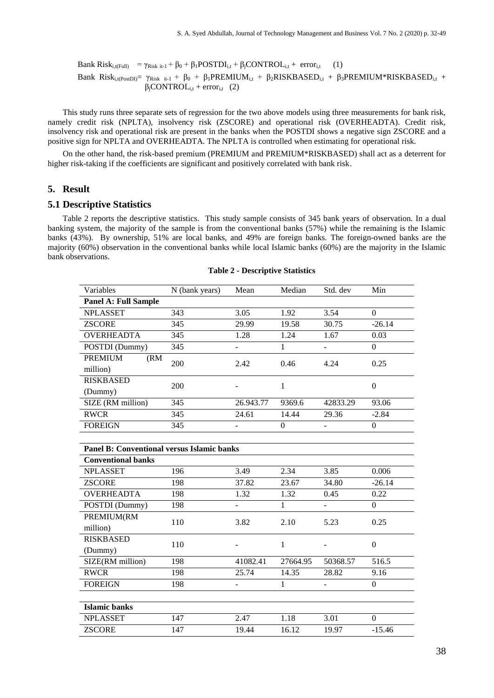Bank Risk<sub>i,t(Full)</sub> = 
$$
\gamma_{Risk it-1} + \beta_0 + \beta_1 POSTDI_{i,t} + \beta_jCONTROL_{i,t} + error_{i,t}
$$
 (1)  
Bank Risk<sub>i,t(PostDD</sub>) =  $\gamma_{Risk it-1} + \beta_0 + \beta_1 PREMIUM_{i,t} + \beta_2RISKBASED_{i,t} + \beta_3PREMIUM*RISKBASED_{i,t} + \beta_j CONTROL_{i,t} + error_{i,t}$  (2)

This study runs three separate sets of regression for the two above models using three measurements for bank risk, namely credit risk (NPLTA), insolvency risk (ZSCORE) and operational risk (OVERHEADTA). Credit risk, insolvency risk and operational risk are present in the banks when the POSTDI shows a negative sign ZSCORE and a positive sign for NPLTA and OVERHEADTA. The NPLTA is controlled when estimating for operational risk.

On the other hand, the risk-based premium (PREMIUM and PREMIUM\*RISKBASED) shall act as a deterrent for higher risk-taking if the coefficients are significant and positively correlated with bank risk.

## **5. Result**

## **5.1 Descriptive Statistics**

Table 2 reports the descriptive statistics. This study sample consists of 345 bank years of observation. In a dual banking system, the majority of the sample is from the conventional banks (57%) while the remaining is the Islamic banks (43%). By ownership, 51% are local banks, and 49% are foreign banks. The foreign-owned banks are the majority (60%) observation in the conventional banks while local Islamic banks (60%) are the majority in the Islamic bank observations.

| Variables                                  | N (bank years) | Mean                     | Median         | Std. dev                 | Min              |
|--------------------------------------------|----------------|--------------------------|----------------|--------------------------|------------------|
| <b>Panel A: Full Sample</b>                |                |                          |                |                          |                  |
| <b>NPLASSET</b>                            | 343            | 3.05                     | 1.92           | 3.54                     | $\Omega$         |
| <b>ZSCORE</b>                              | 345            | 29.99                    | 19.58          | 30.75                    | $-26.14$         |
| <b>OVERHEADTA</b>                          | 345            | 1.28                     | 1.24           | 1.67                     | 0.03             |
| POSTDI (Dummy)                             | 345            | ÷,                       | $\mathbf{1}$   | $\overline{\phantom{a}}$ | $\mathbf{0}$     |
| <b>PREMIUM</b><br>(RM)                     | 200            | 2.42                     | 0.46           | 4.24                     | 0.25             |
| million)                                   |                |                          |                |                          |                  |
| <b>RISKBASED</b>                           | 200            |                          | $\mathbf{1}$   |                          | $\overline{0}$   |
| (Dummy)                                    |                |                          |                |                          |                  |
| SIZE (RM million)                          | 345            | 26.943.77                | 9369.6         | 42833.29                 | 93.06            |
| <b>RWCR</b>                                | 345            | 24.61                    | 14.44          | 29.36                    | $-2.84$          |
| <b>FOREIGN</b>                             | 345            |                          | $\overline{0}$ |                          | $\boldsymbol{0}$ |
|                                            |                |                          |                |                          |                  |
| Panel B: Conventional versus Islamic banks |                |                          |                |                          |                  |
| <b>Conventional banks</b>                  |                |                          |                |                          |                  |
| <b>NPLASSET</b>                            | 196            | 3.49                     | 2.34           | 3.85                     | 0.006            |
| <b>ZSCORE</b>                              | 198            | 37.82                    | 23.67          | 34.80                    | $-26.14$         |
| <b>OVERHEADTA</b>                          | 198            | 1.32                     | 1.32           | 0.45                     | 0.22             |
| POSTDI (Dummy)                             | 198            | ÷,                       | 1              | $\bar{\phantom{a}}$      | $\Omega$         |
| PREMIUM(RM                                 | 110            | 3.82                     | 2.10           | 5.23                     | 0.25             |
| million)                                   |                |                          |                |                          |                  |
| <b>RISKBASED</b>                           | 110            |                          | $\mathbf{1}$   |                          | $\Omega$         |
| (Dummy)                                    |                |                          |                |                          |                  |
| SIZE(RM million)                           | 198            | 41082.41                 | 27664.95       | 50368.57                 | 516.5            |
| <b>RWCR</b>                                | 198            | 25.74                    | 14.35          | 28.82                    | 9.16             |
| <b>FOREIGN</b>                             | 198            | $\overline{\phantom{0}}$ | $\mathbf{1}$   | $\overline{\phantom{a}}$ | $\mathbf{0}$     |
|                                            |                |                          |                |                          |                  |
| <b>Islamic banks</b>                       |                |                          |                |                          |                  |
| <b>NPLASSET</b>                            | 147            | 2.47                     | 1.18           | 3.01                     | $\Omega$         |
| <b>ZSCORE</b>                              | 147            | 19.44                    | 16.12          | 19.97                    | $-15.46$         |

#### **Table 2 - Descriptive Statistics**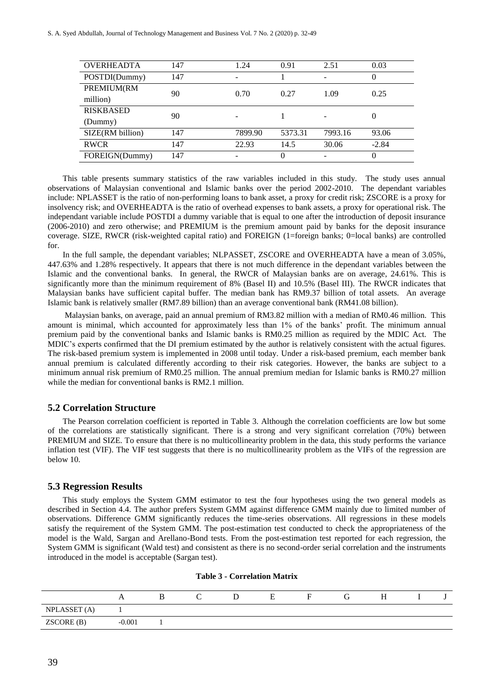| <b>OVERHEADTA</b> | 147 | 1.24    | 0.91     | 2.51    | 0.03     |  |
|-------------------|-----|---------|----------|---------|----------|--|
| POSTDI(Dummy)     | 147 |         |          | ۰       | $\theta$ |  |
| PREMIUM(RM        | 90  | 0.70    | 0.27     | 1.09    | 0.25     |  |
| million)          |     |         |          |         |          |  |
| <b>RISKBASED</b>  | 90  |         |          |         | 0        |  |
| (Dummy)           |     |         |          |         |          |  |
| SIZE(RM billion)  | 147 | 7899.90 | 5373.31  | 7993.16 | 93.06    |  |
| <b>RWCR</b>       | 147 | 22.93   | 14.5     | 30.06   | $-2.84$  |  |
| FOREIGN(Dummy)    | 147 |         | $\Omega$ |         | $\Omega$ |  |
|                   |     |         |          |         |          |  |

This table presents summary statistics of the raw variables included in this study. The study uses annual observations of Malaysian conventional and Islamic banks over the period 2002-2010. The dependant variables include: NPLASSET is the ratio of non-performing loans to bank asset, a proxy for credit risk; ZSCORE is a proxy for insolvency risk; and OVERHEADTA is the ratio of overhead expenses to bank assets, a proxy for operational risk. The independant variable include POSTDI a dummy variable that is equal to one after the introduction of deposit insurance (2006-2010) and zero otherwise; and PREMIUM is the premium amount paid by banks for the deposit insurance coverage. SIZE, RWCR (risk-weighted capital ratio) and FOREIGN (1=foreign banks; 0=local banks) are controlled for.

In the full sample, the dependant variables; NLPASSET, ZSCORE and OVERHEADTA have a mean of 3.05%, 447.63% and 1.28% respectively. It appears that there is not much difference in the dependant variables between the Islamic and the conventional banks. In general, the RWCR of Malaysian banks are on average, 24.61%. This is significantly more than the minimum requirement of 8% (Basel II) and 10.5% (Basel III). The RWCR indicates that Malaysian banks have sufficient capital buffer. The median bank has RM9.37 billion of total assets. An average Islamic bank is relatively smaller (RM7.89 billion) than an average conventional bank (RM41.08 billion).

Malaysian banks, on average, paid an annual premium of RM3.82 million with a median of RM0.46 million. This amount is minimal, which accounted for approximately less than 1% of the banks' profit. The minimum annual premium paid by the conventional banks and Islamic banks is RM0.25 million as required by the MDIC Act. The MDIC's experts confirmed that the DI premium estimated by the author is relatively consistent with the actual figures. The risk-based premium system is implemented in 2008 until today. Under a risk-based premium, each member bank annual premium is calculated differently according to their risk categories. However, the banks are subject to a minimum annual risk premium of RM0.25 million. The annual premium median for Islamic banks is RM0.27 million while the median for conventional banks is RM2.1 million.

## **5.2 Correlation Structure**

The Pearson correlation coefficient is reported in Table 3. Although the correlation coefficients are low but some of the correlations are statistically significant. There is a strong and very significant correlation (70%) between PREMIUM and SIZE. To ensure that there is no multicollinearity problem in the data, this study performs the variance inflation test (VIF). The VIF test suggests that there is no multicollinearity problem as the VIFs of the regression are below 10.

## **5.3 Regression Results**

This study employs the System GMM estimator to test the four hypotheses using the two general models as described in Section 4.4. The author prefers System GMM against difference GMM mainly due to limited number of observations. Difference GMM significantly reduces the time-series observations. All regressions in these models satisfy the requirement of the System GMM. The post-estimation test conducted to check the appropriateness of the model is the Wald, Sargan and Arellano-Bond tests. From the post-estimation test reported for each regression, the System GMM is significant (Wald test) and consistent as there is no second-order serial correlation and the instruments introduced in the model is acceptable (Sargan test).

|              | A        |  | н |  | н |  |
|--------------|----------|--|---|--|---|--|
| NPLASSET (A) |          |  |   |  |   |  |
| ZSCORE (B)   | $-0.001$ |  |   |  |   |  |

#### **Table 3 - Correlation Matrix**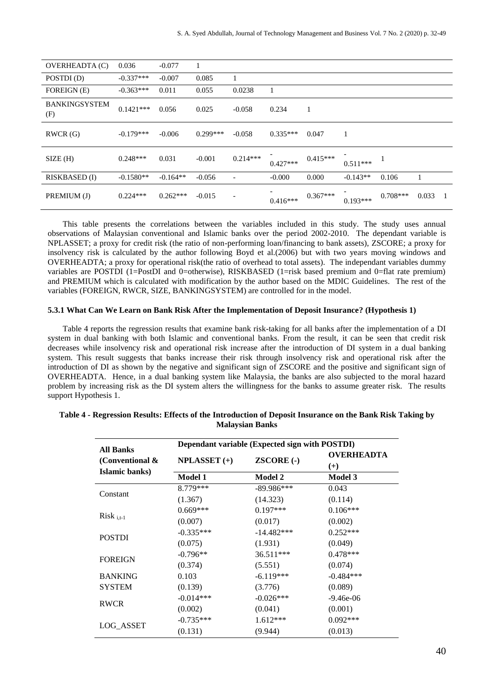| OVERHEADTA (C)              | 0.036       | $-0.077$   |            |                          |            |            |            |            |       |              |
|-----------------------------|-------------|------------|------------|--------------------------|------------|------------|------------|------------|-------|--------------|
| POSTDI(D)                   | $-0.337***$ | $-0.007$   | 0.085      |                          |            |            |            |            |       |              |
| <b>FOREIGN</b> (E)          | $-0.363***$ | 0.011      | 0.055      | 0.0238                   | 1          |            |            |            |       |              |
| <b>BANKINGSYSTEM</b><br>(F) | $0.1421***$ | 0.056      | 0.025      | $-0.058$                 | 0.234      | 1          |            |            |       |              |
| RWCR(G)                     | $-0.179***$ | $-0.006$   | $0.299***$ | $-0.058$                 | $0.335***$ | 0.047      | 1          |            |       |              |
| SIZE(H)                     | $0.248***$  | 0.031      | $-0.001$   | $0.214***$               | $0.427***$ | $0.415***$ | $0.511***$ |            |       |              |
| <b>RISKBASED</b> (I)        | $-0.1580**$ | $-0.164**$ | $-0.056$   |                          | $-0.000$   | 0.000      | $-0.143**$ | 0.106      |       |              |
| PREMIUM (J)                 | $0.224***$  | $0.262***$ | $-0.015$   | $\overline{\phantom{a}}$ | $0.416***$ | $0.367***$ | $0.193***$ | $0.708***$ | 0.033 | $\mathbf{1}$ |

This table presents the correlations between the variables included in this study. The study uses annual observations of Malaysian conventional and Islamic banks over the period 2002-2010. The dependant variable is NPLASSET; a proxy for credit risk (the ratio of non-performing loan/financing to bank assets), ZSCORE; a proxy for insolvency risk is calculated by the author following Boyd et al.(2006) but with two years moving windows and OVERHEADTA; a proxy for operational risk(the ratio of overhead to total assets). The independant variables dummy variables are POSTDI (1=PostDI and 0=otherwise), RISKBASED (1=risk based premium and 0=flat rate premium) and PREMIUM which is calculated with modification by the author based on the MDIC Guidelines. The rest of the variables (FOREIGN, RWCR, SIZE, BANKINGSYSTEM) are controlled for in the model.

#### **5.3.1 What Can We Learn on Bank Risk After the Implementation of Deposit Insurance? (Hypothesis 1)**

Table 4 reports the regression results that examine bank risk-taking for all banks after the implementation of a DI system in dual banking with both Islamic and conventional banks. From the result, it can be seen that credit risk decreases while insolvency risk and operational risk increase after the introduction of DI system in a dual banking system. This result suggests that banks increase their risk through insolvency risk and operational risk after the introduction of DI as shown by the negative and significant sign of ZSCORE and the positive and significant sign of OVERHEADTA. Hence, in a dual banking system like Malaysia, the banks are also subjected to the moral hazard problem by increasing risk as the DI system alters the willingness for the banks to assume greater risk. The results support Hypothesis 1.

|                                     | Dependant variable (Expected sign with POSTDI) |                   |                     |  |  |  |  |  |
|-------------------------------------|------------------------------------------------|-------------------|---------------------|--|--|--|--|--|
| <b>All Banks</b><br>(Conventional & | $NPLASSET (+)$                                 | <b>ZSCORE (-)</b> | OVERHEADTA<br>$(+)$ |  |  |  |  |  |
| Islamic banks)                      | <b>Model 1</b>                                 | <b>Model 2</b>    | <b>Model 3</b>      |  |  |  |  |  |
|                                     | 8.779***                                       | $-89.986***$      | 0.043               |  |  |  |  |  |
| Constant                            | (1.367)                                        | (14.323)          | (0.114)             |  |  |  |  |  |
|                                     | $0.669***$                                     | $0.197***$        | $0.106***$          |  |  |  |  |  |
| $Risk_{i,t-1}$                      | (0.007)                                        | (0.017)           | (0.002)             |  |  |  |  |  |
|                                     | $-0.335***$                                    | $-14.482***$      | $0.252***$          |  |  |  |  |  |
| <b>POSTDI</b>                       | (0.075)                                        | (1.931)           | (0.049)             |  |  |  |  |  |
| <b>FOREIGN</b>                      | $-0.796**$                                     | 36.511***         | $0.478***$          |  |  |  |  |  |
|                                     | (0.374)                                        | (5.551)           | (0.074)             |  |  |  |  |  |
| <b>BANKING</b>                      | 0.103                                          | $-6.119***$       | $-0.484***$         |  |  |  |  |  |
| <b>SYSTEM</b>                       | (0.139)                                        | (3.776)           | (0.089)             |  |  |  |  |  |
| <b>RWCR</b>                         | $-0.014***$                                    | $-0.026***$       | $-9.46e-06$         |  |  |  |  |  |
|                                     | (0.002)                                        | (0.041)           | (0.001)             |  |  |  |  |  |
|                                     | $-0.735***$                                    | $1.612***$        | $0.092***$          |  |  |  |  |  |
| LOG_ASSET                           | (0.131)                                        | (9.944)           | (0.013)             |  |  |  |  |  |

## **Table 4 - Regression Results: Effects of the Introduction of Deposit Insurance on the Bank Risk Taking by Malaysian Banks**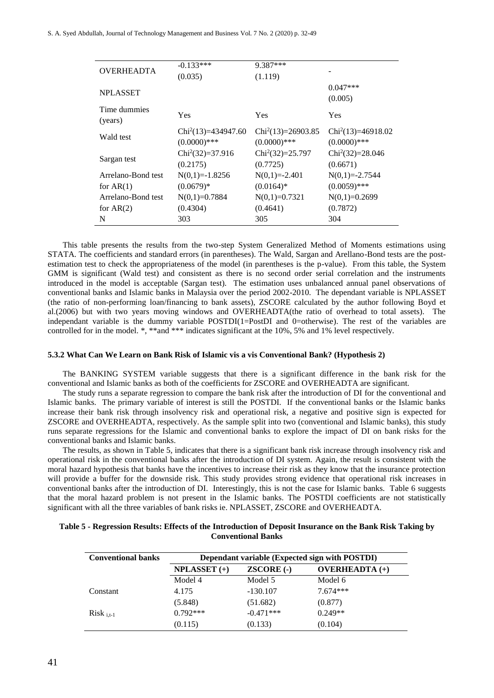S. A. Syed Abdullah, Journal of Technology Management and Business Vol. 7 No. 2 (2020) p. 32-49

| <b>OVERHEADTA</b>  | $-0.133***$          | 9.387***            |                     |
|--------------------|----------------------|---------------------|---------------------|
|                    | (0.035)              | (1.119)             |                     |
|                    |                      |                     | $0.047***$          |
| <b>NPLASSET</b>    |                      |                     | (0.005)             |
| Time dummies       |                      |                     |                     |
| (years)            | Yes                  | Yes                 | Yes                 |
|                    | $Chi2(13)=434947.60$ | $Chi2(13)=26903.85$ | $Chi2(13)=46918.02$ |
| Wald test          | $(0.0000)$ ***       | $(0.0000)$ ***      | $(0.0000)$ ***      |
|                    | $Chi2(32)=37.916$    | $Chi2(32)=25.797$   | $Chi2(32)=28.046$   |
| Sargan test        | (0.2175)             | (0.7725)            | (0.6671)            |
| Arrelano-Bond test | $N(0,1)=-1.8256$     | $N(0,1)=2.401$      | $N(0,1)=2.7544$     |
| for $AR(1)$        | $(0.0679)*$          | $(0.0164)$ *        | $(0.0059)$ ***      |
| Arrelano-Bond test | $N(0,1)=0.7884$      | $N(0,1)=0.7321$     | $N(0,1)=0.2699$     |
| for $AR(2)$        | (0.4304)             | (0.4641)            | (0.7872)            |
| N                  | 303                  | 305                 | 304                 |
|                    |                      |                     |                     |

This table presents the results from the two-step System Generalized Method of Moments estimations using STATA. The coefficients and standard errors (in parentheses). The Wald, Sargan and Arellano-Bond tests are the postestimation test to check the appropriateness of the model (in parentheses is the p-value). From this table, the System GMM is significant (Wald test) and consistent as there is no second order serial correlation and the instruments introduced in the model is acceptable (Sargan test). The estimation uses unbalanced annual panel observations of conventional banks and Islamic banks in Malaysia over the period 2002-2010. The dependant variable is NPLASSET (the ratio of non-performing loan/financing to bank assets), ZSCORE calculated by the author following Boyd et al.(2006) but with two years moving windows and OVERHEADTA(the ratio of overhead to total assets). The independant variable is the dummy variable POSTDI(1=PostDI and 0=otherwise). The rest of the variables are controlled for in the model. \*, \*\*and \*\*\* indicates significant at the 10%, 5% and 1% level respectively.

#### **5.3.2 What Can We Learn on Bank Risk of Islamic vis a vis Conventional Bank? (Hypothesis 2)**

The BANKING SYSTEM variable suggests that there is a significant difference in the bank risk for the conventional and Islamic banks as both of the coefficients for ZSCORE and OVERHEADTA are significant.

The study runs a separate regression to compare the bank risk after the introduction of DI for the conventional and Islamic banks. The primary variable of interest is still the POSTDI. If the conventional banks or the Islamic banks increase their bank risk through insolvency risk and operational risk, a negative and positive sign is expected for ZSCORE and OVERHEADTA, respectively. As the sample split into two (conventional and Islamic banks), this study runs separate regressions for the Islamic and conventional banks to explore the impact of DI on bank risks for the conventional banks and Islamic banks.

The results, as shown in Table 5, indicates that there is a significant bank risk increase through insolvency risk and operational risk in the conventional banks after the introduction of DI system. Again, the result is consistent with the moral hazard hypothesis that banks have the incentives to increase their risk as they know that the insurance protection will provide a buffer for the downside risk. This study provides strong evidence that operational risk increases in conventional banks after the introduction of DI. Interestingly, this is not the case for Islamic banks. Table 6 suggests that the moral hazard problem is not present in the Islamic banks. The POSTDI coefficients are not statistically significant with all the three variables of bank risks ie. NPLASSET, ZSCORE and OVERHEADTA.

| <b>Conventional banks</b> | Dependant variable (Expected sign with POSTDI) |              |                       |  |  |  |  |
|---------------------------|------------------------------------------------|--------------|-----------------------|--|--|--|--|
|                           | $NPLASSET (+)$                                 | $ZSCORE$ (-) | <b>OVERHEADTA</b> (+) |  |  |  |  |
|                           | Model 4                                        | Model 5      | Model 6               |  |  |  |  |
| Constant                  | 4.175                                          | $-130.107$   | $7.674***$            |  |  |  |  |
|                           | (5.848)                                        | (51.682)     | (0.877)               |  |  |  |  |
| $Risk_{i.t-1}$            | $0.792***$                                     | $-0.471***$  | $0.249**$             |  |  |  |  |
|                           | (0.115)                                        | (0.133)      | (0.104)               |  |  |  |  |

## **Table 5 - Regression Results: Effects of the Introduction of Deposit Insurance on the Bank Risk Taking by Conventional Banks**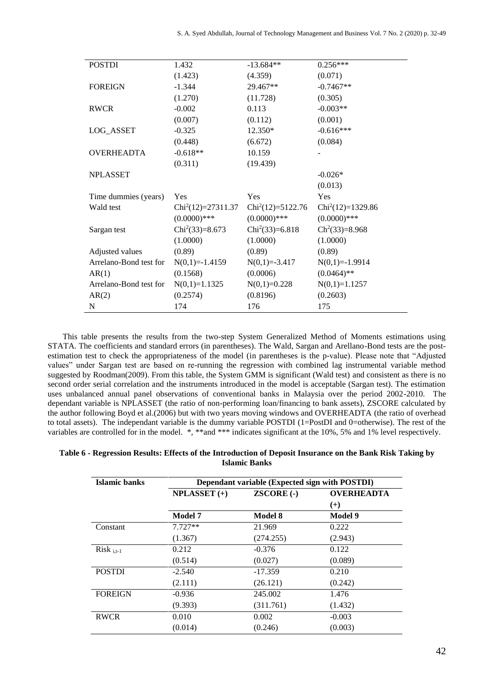| <b>POSTDI</b>          | 1.432               | $-13.684**$        | $0.256***$         |
|------------------------|---------------------|--------------------|--------------------|
|                        |                     |                    |                    |
|                        | (1.423)             | (4.359)            | (0.071)            |
| <b>FOREIGN</b>         | $-1.344$            | 29.467**           | $-0.7467**$        |
|                        | (1.270)             | (11.728)           | (0.305)            |
| RWCR                   | $-0.002$            | 0.113              | $-0.003**$         |
|                        | (0.007)             | (0.112)            | (0.001)            |
| LOG_ASSET              | $-0.325$            | 12.350*            | $-0.616***$        |
|                        | (0.448)             | (6.672)            | (0.084)            |
| <b>OVERHEADTA</b>      | $-0.618**$          | 10.159             |                    |
|                        | (0.311)             | (19.439)           |                    |
| <b>NPLASSET</b>        |                     |                    | $-0.026*$          |
|                        |                     |                    | (0.013)            |
| Time dummies (years)   | Yes                 | Yes                | Yes                |
| Wald test              | $Chi2(12)=27311.37$ | $Chi2(12)=5122.76$ | $Chi2(12)=1329.86$ |
|                        | $(0.0000)$ ***      | $(0.0000)$ ***     | $(0.0000)$ ***     |
| Sargan test            | $Chi2(33)=8.673$    | $Chi2(33)=6.818$   | $Ch^2(33)=8.968$   |
|                        | (1.0000)            | (1.0000)           | (1.0000)           |
| Adjusted values        | (0.89)              | (0.89)             | (0.89)             |
| Arrelano-Bond test for | $N(0,1)=-1.4159$    | $N(0,1)=3.417$     | $N(0,1)=-1.9914$   |
| AR(1)                  | (0.1568)            | (0.0006)           | $(0.0464)$ **      |
| Arrelano-Bond test for | $N(0,1)=1.1325$     | $N(0,1)=0.228$     | $N(0,1)=1.1257$    |
| AR(2)                  | (0.2574)            | (0.8196)           | (0.2603)           |
| $\mathbf N$            | 174                 | 176                | 175                |

This table presents the results from the two-step System Generalized Method of Moments estimations using STATA. The coefficients and standard errors (in parentheses). The Wald, Sargan and Arellano-Bond tests are the postestimation test to check the appropriateness of the model (in parentheses is the p-value). Please note that "Adjusted values" under Sargan test are based on re-running the regression with combined lag instrumental variable method suggested by Roodman(2009). From this table, the System GMM is significant (Wald test) and consistent as there is no second order serial correlation and the instruments introduced in the model is acceptable (Sargan test). The estimation uses unbalanced annual panel observations of conventional banks in Malaysia over the period 2002-2010. The dependant variable is NPLASSET (the ratio of non-performing loan/financing to bank assets), ZSCORE calculated by the author following Boyd et al.(2006) but with two years moving windows and OVERHEADTA (the ratio of overhead to total assets). The independant variable is the dummy variable POSTDI (1=PostDI and 0=otherwise). The rest of the variables are controlled for in the model. \*, \*\*and \*\*\* indicates significant at the 10%, 5% and 1% level respectively.

| Table 6 - Regression Results: Effects of the Introduction of Deposit Insurance on the Bank Risk Taking by |  |  | <b>Islamic Banks</b> |  |                            |  |  |
|-----------------------------------------------------------------------------------------------------------|--|--|----------------------|--|----------------------------|--|--|
|                                                                                                           |  |  | __________________   |  | $\cdots$ $\cdots$ $\cdots$ |  |  |

| Islamic banks  | Dependant variable (Expected sign with POSTDI) |                   |                   |  |  |  |  |  |
|----------------|------------------------------------------------|-------------------|-------------------|--|--|--|--|--|
|                | $NPLASSET (+)$                                 | <b>ZSCORE (-)</b> | <b>OVERHEADTA</b> |  |  |  |  |  |
|                |                                                |                   | $(+)$             |  |  |  |  |  |
|                | <b>Model 7</b>                                 | <b>Model 8</b>    | <b>Model 9</b>    |  |  |  |  |  |
| Constant       | $7.727**$                                      | 21.969            | 0.222             |  |  |  |  |  |
|                | (1.367)                                        | (274.255)         | (2.943)           |  |  |  |  |  |
| $Risk_{i.t-1}$ | 0.212                                          | $-0.376$          | 0.122             |  |  |  |  |  |
|                | (0.514)                                        | (0.027)           | (0.089)           |  |  |  |  |  |
| <b>POSTDI</b>  | $-2.540$                                       | $-17.359$         | 0.210             |  |  |  |  |  |
|                | (2.111)                                        | (26.121)          | (0.242)           |  |  |  |  |  |
| <b>FOREIGN</b> | $-0.936$                                       | 245.002           | 1.476             |  |  |  |  |  |
|                | (9.393)                                        | (311.761)         | (1.432)           |  |  |  |  |  |
| <b>RWCR</b>    | 0.010                                          | 0.002             | $-0.003$          |  |  |  |  |  |
|                | (0.014)                                        | (0.246)           | (0.003)           |  |  |  |  |  |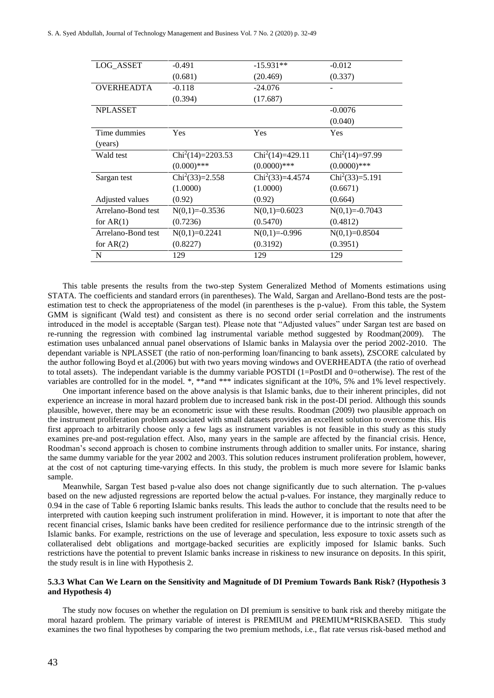| $-0.491$           | $-15.931**$       | $-0.012$         |
|--------------------|-------------------|------------------|
| (0.681)            | (20.469)          | (0.337)          |
| $-0.118$           | $-24.076$         |                  |
| (0.394)            | (17.687)          |                  |
|                    |                   | $-0.0076$        |
|                    |                   | (0.040)          |
| Yes                | Yes               | Yes              |
|                    |                   |                  |
| $Chi2(14)=2203.53$ | $Chi2(14)=429.11$ | $Chi2(14)=97.99$ |
| $(0.000)$ ***      | $(0.0000)$ ***    | $(0.0000)$ ***   |
| $Chi2(33)=2.558$   | $Chi2(33)=4.4574$ | $Chi2(33)=5.191$ |
| (1.0000)           | (1.0000)          | (0.6671)         |
| (0.92)             | (0.92)            | (0.664)          |
| $N(0,1)=0.3536$    | $N(0,1)=0.6023$   | $N(0,1)=0.7043$  |
| (0.7236)           | (0.5470)          | (0.4812)         |
| $N(0,1)=0.2241$    | $N(0,1)=0.996$    | $N(0,1)=0.8504$  |
| (0.8227)           | (0.3192)          | (0.3951)         |
| 129                | 129               | 129              |
|                    |                   |                  |

This table presents the results from the two-step System Generalized Method of Moments estimations using STATA. The coefficients and standard errors (in parentheses). The Wald, Sargan and Arellano-Bond tests are the postestimation test to check the appropriateness of the model (in parentheses is the p-value). From this table, the System GMM is significant (Wald test) and consistent as there is no second order serial correlation and the instruments introduced in the model is acceptable (Sargan test). Please note that "Adjusted values" under Sargan test are based on re-running the regression with combined lag instrumental variable method suggested by Roodman(2009). The estimation uses unbalanced annual panel observations of Islamic banks in Malaysia over the period 2002-2010. The dependant variable is NPLASSET (the ratio of non-performing loan/financing to bank assets), ZSCORE calculated by the author following Boyd et al.(2006) but with two years moving windows and OVERHEADTA (the ratio of overhead to total assets). The independant variable is the dummy variable POSTDI (1=PostDI and 0=otherwise). The rest of the variables are controlled for in the model. \*, \*\*and \*\*\* indicates significant at the 10%, 5% and 1% level respectively.

One important inference based on the above analysis is that Islamic banks, due to their inherent principles, did not experience an increase in moral hazard problem due to increased bank risk in the post-DI period. Although this sounds plausible, however, there may be an econometric issue with these results. Roodman (2009) two plausible approach on the instrument proliferation problem associated with small datasets provides an excellent solution to overcome this. His first approach to arbitrarily choose only a few lags as instrument variables is not feasible in this study as this study examines pre-and post-regulation effect. Also, many years in the sample are affected by the financial crisis. Hence, Roodman's second approach is chosen to combine instruments through addition to smaller units. For instance, sharing the same dummy variable for the year 2002 and 2003. This solution reduces instrument proliferation problem, however, at the cost of not capturing time-varying effects. In this study, the problem is much more severe for Islamic banks sample.

Meanwhile, Sargan Test based p-value also does not change significantly due to such alternation. The p-values based on the new adjusted regressions are reported below the actual p-values. For instance, they marginally reduce to 0.94 in the case of Table 6 reporting Islamic banks results. This leads the author to conclude that the results need to be interpreted with caution keeping such instrument proliferation in mind. However, it is important to note that after the recent financial crises, Islamic banks have been credited for resilience performance due to the intrinsic strength of the Islamic banks. For example, restrictions on the use of leverage and speculation, less exposure to toxic assets such as collateralised debt obligations and mortgage-backed securities are explicitly imposed for Islamic banks. Such restrictions have the potential to prevent Islamic banks increase in riskiness to new insurance on deposits. In this spirit, the study result is in line with Hypothesis 2.

#### **5.3.3 What Can We Learn on the Sensitivity and Magnitude of DI Premium Towards Bank Risk? (Hypothesis 3 and Hypothesis 4)**

The study now focuses on whether the regulation on DI premium is sensitive to bank risk and thereby mitigate the moral hazard problem. The primary variable of interest is PREMIUM and PREMIUM\*RISKBASED. This study examines the two final hypotheses by comparing the two premium methods, i.e., flat rate versus risk-based method and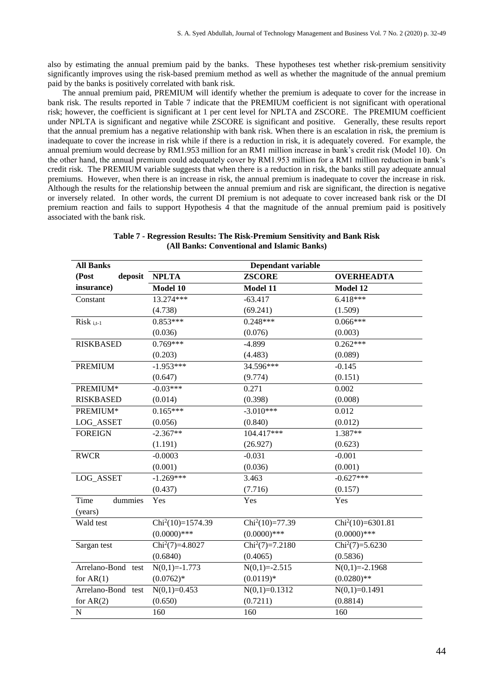also by estimating the annual premium paid by the banks. These hypotheses test whether risk-premium sensitivity significantly improves using the risk-based premium method as well as whether the magnitude of the annual premium paid by the banks is positively correlated with bank risk.

The annual premium paid, PREMIUM will identify whether the premium is adequate to cover for the increase in bank risk. The results reported in Table 7 indicate that the PREMIUM coefficient is not significant with operational risk; however, the coefficient is significant at 1 per cent level for NPLTA and ZSCORE. The PREMIUM coefficient under NPLTA is significant and negative while ZSCORE is significant and positive. Generally, these results report that the annual premium has a negative relationship with bank risk. When there is an escalation in risk, the premium is inadequate to cover the increase in risk while if there is a reduction in risk, it is adequately covered. For example, the annual premium would decrease by RM1.953 million for an RM1 million increase in bank's credit risk (Model 10). On the other hand, the annual premium could adequately cover by RM1.953 million for a RM1 million reduction in bank's credit risk. The PREMIUM variable suggests that when there is a reduction in risk, the banks still pay adequate annual premiums. However, when there is an increase in risk, the annual premium is inadequate to cover the increase in risk. Although the results for the relationship between the annual premium and risk are significant, the direction is negative or inversely related. In other words, the current DI premium is not adequate to cover increased bank risk or the DI premium reaction and fails to support Hypothesis 4 that the magnitude of the annual premium paid is positively associated with the bank risk.

| <b>All Banks</b>   |                    | Dependant variable                  |                                       |
|--------------------|--------------------|-------------------------------------|---------------------------------------|
| (Post<br>deposit   | <b>NPLTA</b>       | <b>ZSCORE</b>                       | <b>OVERHEADTA</b>                     |
| insurance)         | Model 10           | Model 11                            | Model 12                              |
| Constant           | 13.274***          | $-63.417$                           | 6.418***                              |
|                    | (4.738)            | (69.241)                            | (1.509)                               |
| $Risk_{i,t-1}$     | $0.853***$         | $0.248***$                          | $0.066***$                            |
|                    | (0.036)            | (0.076)                             | (0.003)                               |
| <b>RISKBASED</b>   | $0.769***$         | $-4.899$                            | $0.262***$                            |
|                    | (0.203)            | (4.483)                             | (0.089)                               |
| PREMIUM            | $-1.953***$        | 34.596***                           | $-0.145$                              |
|                    | (0.647)            | (9.774)                             | (0.151)                               |
| PREMIUM*           | $-0.03***$         | 0.271                               | 0.002                                 |
| <b>RISKBASED</b>   | (0.014)            | (0.398)                             | (0.008)                               |
| PREMIUM*           | $0.165***$         | $-3.010***$                         | 0.012                                 |
| LOG_ASSET          | (0.056)            | (0.840)                             | (0.012)                               |
| <b>FOREIGN</b>     | $-2.367**$         | 104.417***                          | $1.387**$                             |
|                    | (1.191)            | (26.927)                            | (0.623)                               |
| <b>RWCR</b>        | $-0.0003$          | $-0.031$                            | $-0.001$                              |
|                    | (0.001)            | (0.036)                             | (0.001)                               |
| LOG_ASSET          | $-1.269***$        | 3.463                               | $-0.627***$                           |
|                    | (0.437)            | (7.716)                             | (0.157)                               |
| Time<br>dummies    | Yes                | Yes                                 | Yes                                   |
| (years)            |                    |                                     |                                       |
| Wald test          | $Chi2(10)=1574.39$ | $Chi2(10)=77.39$                    | $Chi2(10)=6301.81$                    |
|                    | $(0.0000)$ ***     | $(0.0000)$ ***                      | $(0.0000)$ ***                        |
| Sargan test        | $Chi^2(7)=4.8027$  | $\overline{\text{Chi}}^2(7)=7.2180$ | $\overline{\text{Chi}^2(7)} = 5.6230$ |
|                    | (0.6840)           | (0.4065)                            | (0.5836)                              |
| Arrelano-Bond test | $N(0,1)=-1.773$    | $N(0,1)=2.515$                      | $N(0,1)=2.1968$                       |
| for $AR(1)$        | $(0.0762)*$        | $(0.0119)*$                         | $(0.0280)$ **                         |
| Arrelano-Bond test | $N(0,1)=0.453$     | $N(0,1)=0.1312$                     | $N(0,1)=0.1491$                       |
| for $AR(2)$        | (0.650)            | (0.7211)                            | (0.8814)                              |
| ${\bf N}$          | 160                | 160                                 | 160                                   |

**Table 7 - Regression Results: The Risk-Premium Sensitivity and Bank Risk (All Banks: Conventional and Islamic Banks)**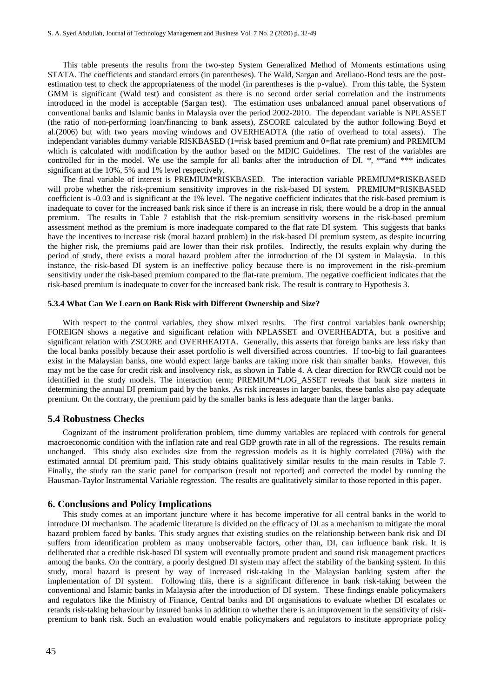This table presents the results from the two-step System Generalized Method of Moments estimations using STATA. The coefficients and standard errors (in parentheses). The Wald, Sargan and Arellano-Bond tests are the postestimation test to check the appropriateness of the model (in parentheses is the p-value). From this table, the System GMM is significant (Wald test) and consistent as there is no second order serial correlation and the instruments introduced in the model is acceptable (Sargan test). The estimation uses unbalanced annual panel observations of conventional banks and Islamic banks in Malaysia over the period 2002-2010. The dependant variable is NPLASSET (the ratio of non-performing loan/financing to bank assets), ZSCORE calculated by the author following Boyd et al.(2006) but with two years moving windows and OVERHEADTA (the ratio of overhead to total assets). The independant variables dummy variable RISKBASED (1=risk based premium and 0=flat rate premium) and PREMIUM which is calculated with modification by the author based on the MDIC Guidelines. The rest of the variables are controlled for in the model. We use the sample for all banks after the introduction of DI. \*, \*\*and \*\*\* indicates significant at the 10%, 5% and 1% level respectively.

The final variable of interest is PREMIUM\*RISKBASED. The interaction variable PREMIUM\*RISKBASED will probe whether the risk-premium sensitivity improves in the risk-based DI system. PREMIUM\*RISKBASED coefficient is -0.03 and is significant at the 1% level. The negative coefficient indicates that the risk-based premium is inadequate to cover for the increased bank risk since if there is an increase in risk, there would be a drop in the annual premium. The results in Table 7 establish that the risk-premium sensitivity worsens in the risk-based premium assessment method as the premium is more inadequate compared to the flat rate DI system. This suggests that banks have the incentives to increase risk (moral hazard problem) in the risk-based DI premium system, as despite incurring the higher risk, the premiums paid are lower than their risk profiles. Indirectly, the results explain why during the period of study, there exists a moral hazard problem after the introduction of the DI system in Malaysia. In this instance, the risk-based DI system is an ineffective policy because there is no improvement in the risk-premium sensitivity under the risk-based premium compared to the flat-rate premium. The negative coefficient indicates that the risk-based premium is inadequate to cover for the increased bank risk. The result is contrary to Hypothesis 3.

#### **5.3.4 What Can We Learn on Bank Risk with Different Ownership and Size?**

With respect to the control variables, they show mixed results. The first control variables bank ownership; FOREIGN shows a negative and significant relation with NPLASSET and OVERHEADTA, but a positive and significant relation with ZSCORE and OVERHEADTA. Generally, this asserts that foreign banks are less risky than the local banks possibly because their asset portfolio is well diversified across countries. If too-big to fail guarantees exist in the Malaysian banks, one would expect large banks are taking more risk than smaller banks. However, this may not be the case for credit risk and insolvency risk, as shown in Table 4. A clear direction for RWCR could not be identified in the study models. The interaction term; PREMIUM\*LOG\_ASSET reveals that bank size matters in determining the annual DI premium paid by the banks. As risk increases in larger banks, these banks also pay adequate premium. On the contrary, the premium paid by the smaller banks is less adequate than the larger banks.

#### **5.4 Robustness Checks**

Cognizant of the instrument proliferation problem, time dummy variables are replaced with controls for general macroeconomic condition with the inflation rate and real GDP growth rate in all of the regressions. The results remain unchanged. This study also excludes size from the regression models as it is highly correlated (70%) with the estimated annual DI premium paid. This study obtains qualitatively similar results to the main results in Table 7. Finally, the study ran the static panel for comparison (result not reported) and corrected the model by running the Hausman-Taylor Instrumental Variable regression. The results are qualitatively similar to those reported in this paper.

#### **6. Conclusions and Policy Implications**

This study comes at an important juncture where it has become imperative for all central banks in the world to introduce DI mechanism. The academic literature is divided on the efficacy of DI as a mechanism to mitigate the moral hazard problem faced by banks. This study argues that existing studies on the relationship between bank risk and DI suffers from identification problem as many unobservable factors, other than, DI, can influence bank risk. It is deliberated that a credible risk-based DI system will eventually promote prudent and sound risk management practices among the banks. On the contrary, a poorly designed DI system may affect the stability of the banking system. In this study, moral hazard is present by way of increased risk-taking in the Malaysian banking system after the implementation of DI system. Following this, there is a significant difference in bank risk-taking between the conventional and Islamic banks in Malaysia after the introduction of DI system. These findings enable policymakers and regulators like the Ministry of Finance, Central banks and DI organisations to evaluate whether DI escalates or retards risk-taking behaviour by insured banks in addition to whether there is an improvement in the sensitivity of riskpremium to bank risk. Such an evaluation would enable policymakers and regulators to institute appropriate policy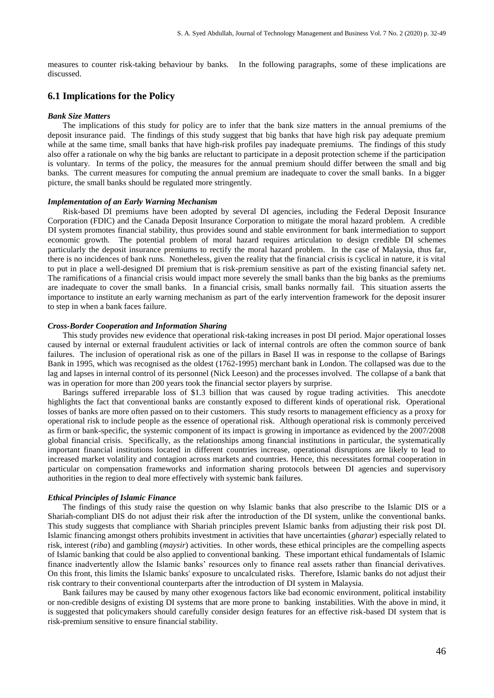measures to counter risk-taking behaviour by banks. In the following paragraphs, some of these implications are discussed.

## **6.1 Implications for the Policy**

#### *Bank Size Matters*

The implications of this study for policy are to infer that the bank size matters in the annual premiums of the deposit insurance paid. The findings of this study suggest that big banks that have high risk pay adequate premium while at the same time, small banks that have high-risk profiles pay inadequate premiums. The findings of this study also offer a rationale on why the big banks are reluctant to participate in a deposit protection scheme if the participation is voluntary. In terms of the policy, the measures for the annual premium should differ between the small and big banks. The current measures for computing the annual premium are inadequate to cover the small banks. In a bigger picture, the small banks should be regulated more stringently.

#### *Implementation of an Early Warning Mechanism*

Risk-based DI premiums have been adopted by several DI agencies, including the Federal Deposit Insurance Corporation (FDIC) and the Canada Deposit Insurance Corporation to mitigate the moral hazard problem. A credible DI system promotes financial stability, thus provides sound and stable environment for bank intermediation to support economic growth. The potential problem of moral hazard requires articulation to design credible DI schemes particularly the deposit insurance premiums to rectify the moral hazard problem. In the case of Malaysia, thus far, there is no incidences of bank runs. Nonetheless, given the reality that the financial crisis is cyclical in nature, it is vital to put in place a well-designed DI premium that is risk-premium sensitive as part of the existing financial safety net. The ramifications of a financial crisis would impact more severely the small banks than the big banks as the premiums are inadequate to cover the small banks. In a financial crisis, small banks normally fail. This situation asserts the importance to institute an early warning mechanism as part of the early intervention framework for the deposit insurer to step in when a bank faces failure.

## *Cross-Border Cooperation and Information Sharing*

This study provides new evidence that operational risk-taking increases in post DI period. Major operational losses caused by internal or external fraudulent activities or lack of internal controls are often the common source of bank failures. The inclusion of operational risk as one of the pillars in Basel II was in response to the collapse of Barings Bank in 1995, which was recognised as the oldest (1762-1995) merchant bank in London. The collapsed was due to the lag and lapses in internal control of its personnel (Nick Leeson) and the processes involved. The collapse of a bank that was in operation for more than 200 years took the financial sector players by surprise.

Barings suffered irreparable loss of \$1.3 billion that was caused by rogue trading activities. This anecdote highlights the fact that conventional banks are constantly exposed to different kinds of operational risk. Operational losses of banks are more often passed on to their customers. This study resorts to management efficiency as a proxy for operational risk to include people as the essence of operational risk. Although operational risk is commonly perceived as firm or bank-specific, the systemic component of its impact is growing in importance as evidenced by the 2007/2008 global financial crisis. Specifically, as the relationships among financial institutions in particular, the systematically important financial institutions located in different countries increase, operational disruptions are likely to lead to increased market volatility and contagion across markets and countries. Hence, this necessitates formal cooperation in particular on compensation frameworks and information sharing protocols between DI agencies and supervisory authorities in the region to deal more effectively with systemic bank failures.

#### *Ethical Principles of Islamic Finance*

The findings of this study raise the question on why Islamic banks that also prescribe to the Islamic DIS or a Shariah-compliant DIS do not adjust their risk after the introduction of the DI system, unlike the conventional banks. This study suggests that compliance with Shariah principles prevent Islamic banks from adjusting their risk post DI. Islamic financing amongst others prohibits investment in activities that have uncertainties (*gharar*) especially related to risk, interest (*riba*) and gambling (*maysir*) activities. In other words, these ethical principles are the compelling aspects of Islamic banking that could be also applied to conventional banking. These important ethical fundamentals of Islamic finance inadvertently allow the Islamic banks' resources only to finance real assets rather than financial derivatives. On this front, this limits the Islamic banks' exposure to uncalculated risks. Therefore, Islamic banks do not adjust their risk contrary to their conventional counterparts after the introduction of DI system in Malaysia.

Bank failures may be caused by many other exogenous factors like bad economic environment, political instability or non-credible designs of existing DI systems that are more prone to banking instabilities. With the above in mind, it is suggested that policymakers should carefully consider design features for an effective risk-based DI system that is risk-premium sensitive to ensure financial stability.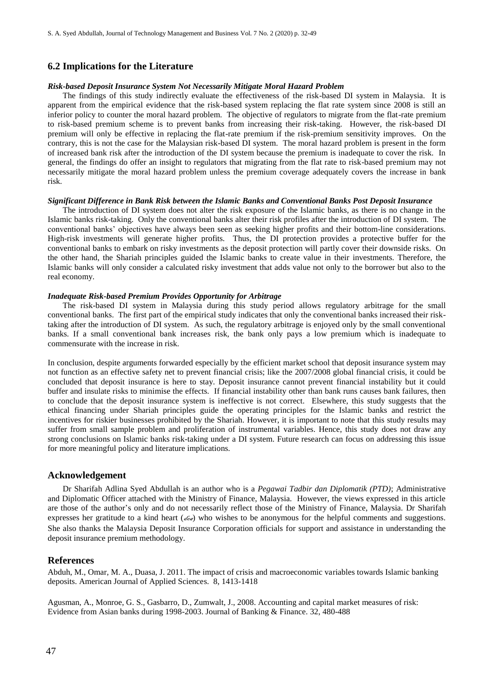## **6.2 Implications for the Literature**

#### *Risk-based Deposit Insurance System Not Necessarily Mitigate Moral Hazard Problem*

The findings of this study indirectly evaluate the effectiveness of the risk-based DI system in Malaysia. It is apparent from the empirical evidence that the risk-based system replacing the flat rate system since 2008 is still an inferior policy to counter the moral hazard problem. The objective of regulators to migrate from the flat-rate premium to risk-based premium scheme is to prevent banks from increasing their risk-taking. However, the risk-based DI premium will only be effective in replacing the flat-rate premium if the risk-premium sensitivity improves. On the contrary, this is not the case for the Malaysian risk-based DI system. The moral hazard problem is present in the form of increased bank risk after the introduction of the DI system because the premium is inadequate to cover the risk. In general, the findings do offer an insight to regulators that migrating from the flat rate to risk-based premium may not necessarily mitigate the moral hazard problem unless the premium coverage adequately covers the increase in bank risk.

#### *Significant Difference in Bank Risk between the Islamic Banks and Conventional Banks Post Deposit Insurance*

The introduction of DI system does not alter the risk exposure of the Islamic banks, as there is no change in the Islamic banks risk-taking. Only the conventional banks alter their risk profiles after the introduction of DI system. The conventional banks' objectives have always been seen as seeking higher profits and their bottom-line considerations. High-risk investments will generate higher profits. Thus, the DI protection provides a protective buffer for the conventional banks to embark on risky investments as the deposit protection will partly cover their downside risks. On the other hand, the Shariah principles guided the Islamic banks to create value in their investments. Therefore, the Islamic banks will only consider a calculated risky investment that adds value not only to the borrower but also to the real economy.

## *Inadequate Risk-based Premium Provides Opportunity for Arbitrage*

The risk-based DI system in Malaysia during this study period allows regulatory arbitrage for the small conventional banks. The first part of the empirical study indicates that only the conventional banks increased their risktaking after the introduction of DI system. As such, the regulatory arbitrage is enjoyed only by the small conventional banks. If a small conventional bank increases risk, the bank only pays a low premium which is inadequate to commensurate with the increase in risk.

In conclusion, despite arguments forwarded especially by the efficient market school that deposit insurance system may not function as an effective safety net to prevent financial crisis; like the 2007/2008 global financial crisis, it could be concluded that deposit insurance is here to stay. Deposit insurance cannot prevent financial instability but it could buffer and insulate risks to minimise the effects. If financial instability other than bank runs causes bank failures, then to conclude that the deposit insurance system is ineffective is not correct. Elsewhere, this study suggests that the ethical financing under Shariah principles guide the operating principles for the Islamic banks and restrict the incentives for riskier businesses prohibited by the Shariah. However, it is important to note that this study results may suffer from small sample problem and proliferation of instrumental variables. Hence, this study does not draw any strong conclusions on Islamic banks risk-taking under a DI system. Future research can focus on addressing this issue for more meaningful policy and literature implications.

## **Acknowledgement**

Dr Sharifah Adlina Syed Abdullah is an author who is a *Pegawai Tadbir dan Diplomatik (PTD)*; Administrative and Diplomatic Officer attached with the Ministry of Finance, Malaysia. However, the views expressed in this article are those of the author's only and do not necessarily reflect those of the Ministry of Finance, Malaysia. Dr Sharifah expresses her gratitude to a kind heart ( $\epsilon \epsilon$ ) who wishes to be anonymous for the helpful comments and suggestions. She also thanks the Malaysia Deposit Insurance Corporation officials for support and assistance in understanding the deposit insurance premium methodology.

## **References**

Abduh, M., Omar, M. A., Duasa, J. 2011. The impact of crisis and macroeconomic variables towards Islamic banking deposits. American Journal of Applied Sciences. 8, 1413-1418

Agusman, A., Monroe, G. S., Gasbarro, D., Zumwalt, J., 2008. Accounting and capital market measures of risk: Evidence from Asian banks during 1998-2003. Journal of Banking & Finance. 32, 480-488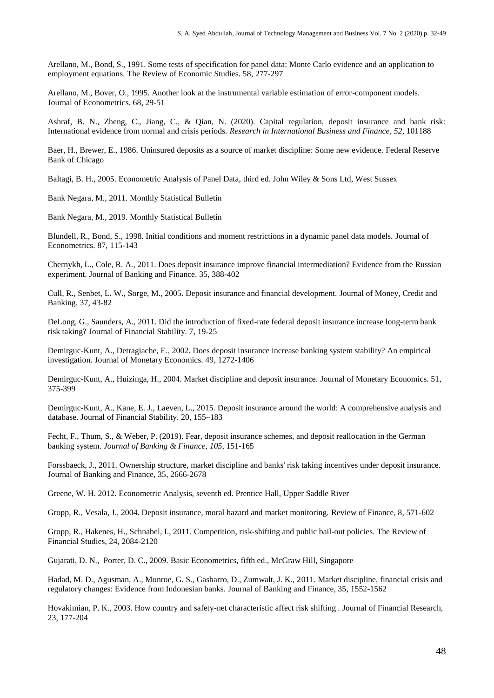Arellano, M., Bond, S., 1991. Some tests of specification for panel data: Monte Carlo evidence and an application to employment equations. The Review of Economic Studies. 58, 277-297

Arellano, M., Bover, O., 1995. Another look at the instrumental variable estimation of error-component models. Journal of Econometrics. 68, 29-51

Ashraf, B. N., Zheng, C., Jiang, C., & Qian, N. (2020). Capital regulation, deposit insurance and bank risk: International evidence from normal and crisis periods. *Research in International Business and Finance*, *52*, 101188

Baer, H., Brewer, E., 1986. Uninsured deposits as a source of market discipline: Some new evidence. Federal Reserve Bank of Chicago

Baltagi, B. H., 2005. Econometric Analysis of Panel Data, third ed. John Wiley & Sons Ltd, West Sussex

Bank Negara, M., 2011. Monthly Statistical Bulletin

Bank Negara, M., 2019. Monthly Statistical Bulletin

Blundell, R., Bond, S., 1998. Initial conditions and moment restrictions in a dynamic panel data models. Journal of Econometrics. 87, 115-143

Chernykh, L., Cole, R. A., 2011. Does deposit insurance improve financial intermediation? Evidence from the Russian experiment. Journal of Banking and Finance. 35, 388-402

Cull, R., Senbet, L. W., Sorge, M., 2005. Deposit insurance and financial development. Journal of Money, Credit and Banking. 37, 43-82

DeLong, G., Saunders, A., 2011. Did the introduction of fixed-rate federal deposit insurance increase long-term bank risk taking? Journal of Financial Stability. 7, 19-25

Demirguc-Kunt, A., Detragiache, E., 2002. Does deposit insurance increase banking system stability? An empirical investigation. Journal of Monetary Economics. 49, 1272-1406

Demirguc-Kunt, A., Huizinga, H., 2004. Market discipline and deposit insurance. Journal of Monetary Economics. 51, 375-399

Demirguc-Kunt, A., Kane, E. J., Laeven, L., 2015. Deposit insurance around the world: A comprehensive analysis and database. Journal of Financial Stability. 20, 155–183

Fecht, F., Thum, S., & Weber, P. (2019). Fear, deposit insurance schemes, and deposit reallocation in the German banking system. *Journal of Banking & Finance*, *105*, 151-165

Forssbaeck, J., 2011. Ownership structure, market discipline and banks' risk taking incentives under deposit insurance. Journal of Banking and Finance, 35, 2666-2678

Greene, W. H. 2012. Econometric Analysis, seventh ed. Prentice Hall, Upper Saddle River

Gropp, R., Vesala, J., 2004. Deposit insurance, moral hazard and market monitoring. Review of Finance, 8, 571-602

Gropp, R., Hakenes, H., Schnabel, I., 2011. Competition, risk-shifting and public bail-out policies. The Review of Financial Studies, 24, 2084-2120

Gujarati, D. N., Porter, D. C., 2009. Basic Econometrics, fifth ed., McGraw Hill, Singapore

Hadad, M. D., Agusman, A., Monroe, G. S., Gasbarro, D., Zumwalt, J. K., 2011. Market discipline, financial crisis and regulatory changes: Evidence from Indonesian banks. Journal of Banking and Finance, 35, 1552-1562

Hovakimian, P. K., 2003. How country and safety-net characteristic affect risk shifting . Journal of Financial Research, 23, 177-204